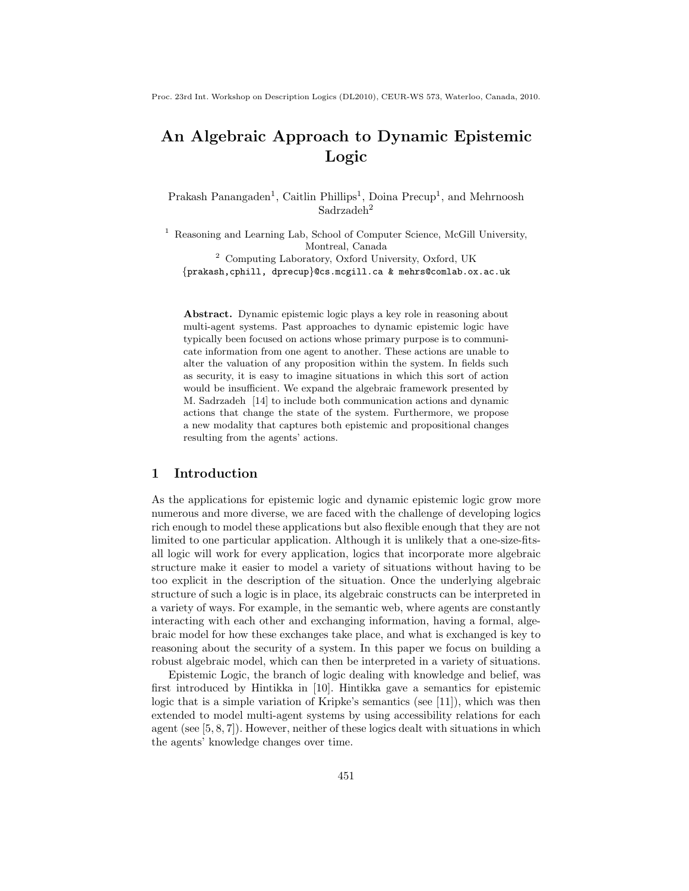Proc. 23rd Int. Workshop on Description Logics (DL2010), CEUR-WS 573, Waterloo, Canada, 2010.

# An Algebraic Approach to Dynamic Epistemic Logic

Prakash Panangaden<sup>1</sup>, Caitlin Phillips<sup>1</sup>, Doina Precup<sup>1</sup>, and Mehrnoosh Sadrzadeh<sup>2</sup>

<sup>1</sup> Reasoning and Learning Lab, School of Computer Science, McGill University, Montreal, Canada <sup>2</sup> Computing Laboratory, Oxford University, Oxford, UK

{prakash,cphill, dprecup}@cs.mcgill.ca & mehrs@comlab.ox.ac.uk

Abstract. Dynamic epistemic logic plays a key role in reasoning about multi-agent systems. Past approaches to dynamic epistemic logic have typically been focused on actions whose primary purpose is to communicate information from one agent to another. These actions are unable to alter the valuation of any proposition within the system. In fields such as security, it is easy to imagine situations in which this sort of action would be insufficient. We expand the algebraic framework presented by M. Sadrzadeh [14] to include both communication actions and dynamic actions that change the state of the system. Furthermore, we propose a new modality that captures both epistemic and propositional changes resulting from the agents' actions.

## 1 Introduction

As the applications for epistemic logic and dynamic epistemic logic grow more numerous and more diverse, we are faced with the challenge of developing logics rich enough to model these applications but also flexible enough that they are not limited to one particular application. Although it is unlikely that a one-size-fitsall logic will work for every application, logics that incorporate more algebraic structure make it easier to model a variety of situations without having to be too explicit in the description of the situation. Once the underlying algebraic structure of such a logic is in place, its algebraic constructs can be interpreted in a variety of ways. For example, in the semantic web, where agents are constantly interacting with each other and exchanging information, having a formal, algebraic model for how these exchanges take place, and what is exchanged is key to reasoning about the security of a system. In this paper we focus on building a robust algebraic model, which can then be interpreted in a variety of situations.

Epistemic Logic, the branch of logic dealing with knowledge and belief, was first introduced by Hintikka in [10]. Hintikka gave a semantics for epistemic logic that is a simple variation of Kripke's semantics (see [11]), which was then extended to model multi-agent systems by using accessibility relations for each agent (see [5, 8, 7]). However, neither of these logics dealt with situations in which the agents' knowledge changes over time.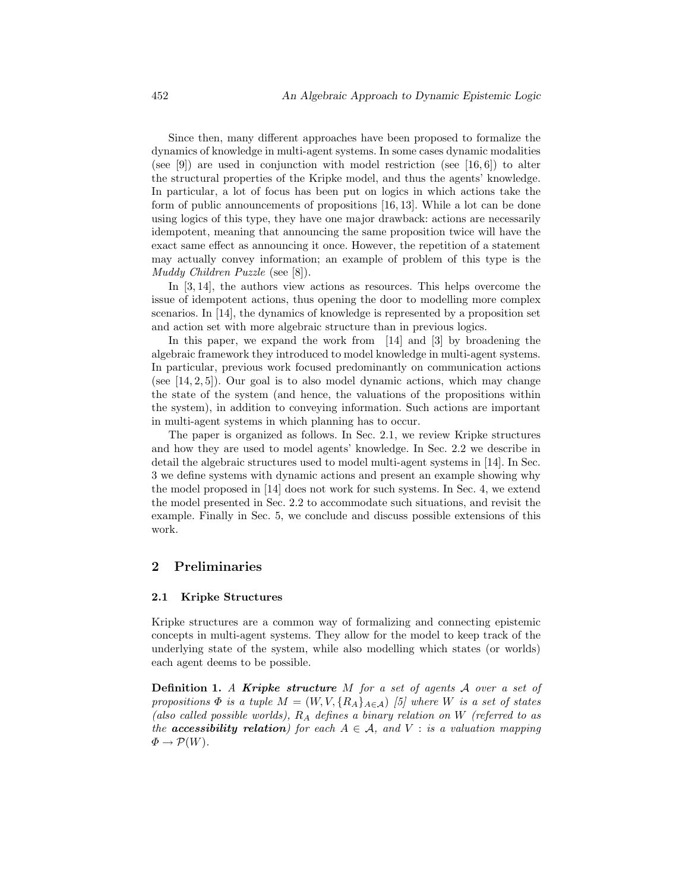Since then, many different approaches have been proposed to formalize the dynamics of knowledge in multi-agent systems. In some cases dynamic modalities (see [9]) are used in conjunction with model restriction (see [16, 6]) to alter the structural properties of the Kripke model, and thus the agents' knowledge. In particular, a lot of focus has been put on logics in which actions take the form of public announcements of propositions [16, 13]. While a lot can be done using logics of this type, they have one major drawback: actions are necessarily idempotent, meaning that announcing the same proposition twice will have the exact same effect as announcing it once. However, the repetition of a statement may actually convey information; an example of problem of this type is the Muddy Children Puzzle (see [8]).

In [3, 14], the authors view actions as resources. This helps overcome the issue of idempotent actions, thus opening the door to modelling more complex scenarios. In [14], the dynamics of knowledge is represented by a proposition set and action set with more algebraic structure than in previous logics.

In this paper, we expand the work from [14] and [3] by broadening the algebraic framework they introduced to model knowledge in multi-agent systems. In particular, previous work focused predominantly on communication actions (see [14, 2, 5]). Our goal is to also model dynamic actions, which may change the state of the system (and hence, the valuations of the propositions within the system), in addition to conveying information. Such actions are important in multi-agent systems in which planning has to occur.

The paper is organized as follows. In Sec. 2.1, we review Kripke structures and how they are used to model agents' knowledge. In Sec. 2.2 we describe in detail the algebraic structures used to model multi-agent systems in [14]. In Sec. 3 we define systems with dynamic actions and present an example showing why the model proposed in [14] does not work for such systems. In Sec. 4, we extend the model presented in Sec. 2.2 to accommodate such situations, and revisit the example. Finally in Sec. 5, we conclude and discuss possible extensions of this work.

## 2 Preliminaries

#### 2.1 Kripke Structures

Kripke structures are a common way of formalizing and connecting epistemic concepts in multi-agent systems. They allow for the model to keep track of the underlying state of the system, while also modelling which states (or worlds) each agent deems to be possible.

**Definition 1.** A Kripke structure M for a set of agents  $\mathcal A$  over a set of propositions  $\Phi$  is a tuple  $M = (W, V, \{R_A\}_{A \in \mathcal{A}})$  [5] where W is a set of states (also called possible worlds),  $R_A$  defines a binary relation on W (referred to as the **accessibility relation**) for each  $A \in \mathcal{A}$ , and  $V :$  is a valuation mapping  $\Phi \to \mathcal{P}(W)$ .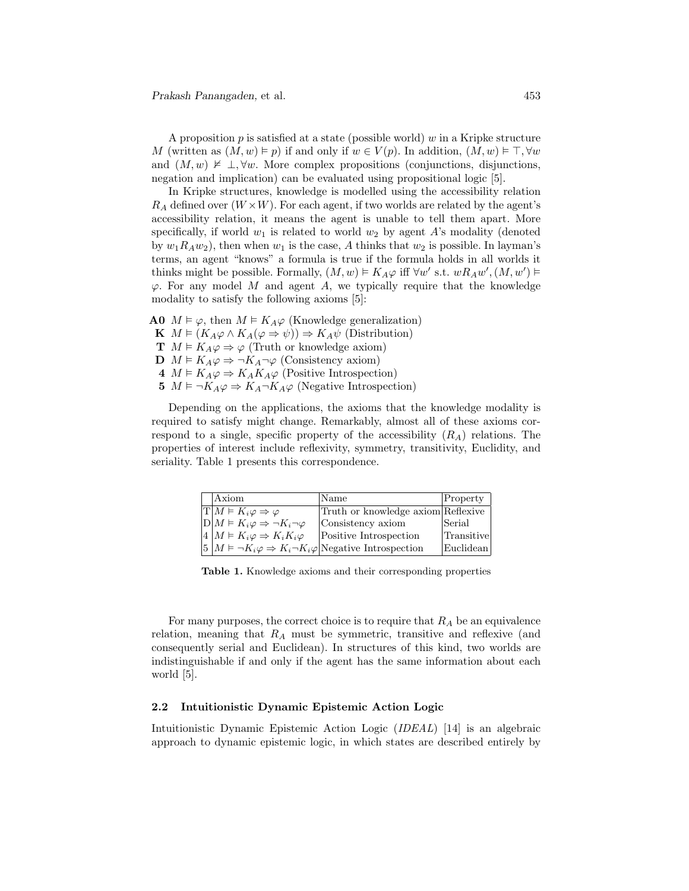A proposition p is satisfied at a state (possible world) w in a Kripke structure M (written as  $(M, w) \models p)$  if and only if  $w \in V(p)$ . In addition,  $(M, w) \models \top, \forall w$ and  $(M, w) \not\vDash \bot, \forall w$ . More complex propositions (conjunctions, disjunctions, negation and implication) can be evaluated using propositional logic [5].

In Kripke structures, knowledge is modelled using the accessibility relation  $R_A$  defined over  $(W \times W)$ . For each agent, if two worlds are related by the agent's accessibility relation, it means the agent is unable to tell them apart. More specifically, if world  $w_1$  is related to world  $w_2$  by agent A's modality (denoted by  $w_1R_Aw_2$ , then when  $w_1$  is the case, A thinks that  $w_2$  is possible. In layman's terms, an agent "knows" a formula is true if the formula holds in all worlds it thinks might be possible. Formally,  $(M, w) \models K_A \varphi$  iff  $\forall w'$  s.t.  $wR_A w'$ ,  $(M, w') \models$  $\varphi$ . For any model M and agent A, we typically require that the knowledge modality to satisfy the following axioms [5]:

- **A0**  $M \models \varphi$ , then  $M \models K_A \varphi$  (Knowledge generalization)
- K  $M \models (K_A \varphi \land K_A(\varphi \Rightarrow \psi)) \Rightarrow K_A \psi$  (Distribution)
- **T**  $M \models K_A \varphi \Rightarrow \varphi$  (Truth or knowledge axiom)
- D  $M \models K_A \varphi \Rightarrow \neg K_A \neg \varphi$  (Consistency axiom)
- 4  $M \models K_A \varphi \Rightarrow K_A K_A \varphi$  (Positive Introspection)
- 5  $M \models \neg K_A \varphi \Rightarrow K_A \neg K_A \varphi$  (Negative Introspection)

Depending on the applications, the axioms that the knowledge modality is required to satisfy might change. Remarkably, almost all of these axioms correspond to a single, specific property of the accessibility  $(R_A)$  relations. The properties of interest include reflexivity, symmetry, transitivity, Euclidity, and seriality. Table 1 presents this correspondence.

| Axiom                                                                                   | Name                               | Property   |
|-----------------------------------------------------------------------------------------|------------------------------------|------------|
| $ \mathrm{T} M \models K_i \varphi \Rightarrow \varphi$                                 | Truth or knowledge axiom Reflexive |            |
| $D M \models K_i \varphi \Rightarrow \neg K_i \neg \varphi$                             | Consistency axiom                  | Serial     |
| $4 M \models K_i \varphi \Rightarrow K_i K_i \varphi$                                   | Positive Introspection             | Transitive |
| $ 5 M \models \neg K_i \varphi \Rightarrow K_i \neg K_i \varphi$ Negative Introspection |                                    | Euclidean  |

Table 1. Knowledge axioms and their corresponding properties

For many purposes, the correct choice is to require that  $R_A$  be an equivalence relation, meaning that  $R_A$  must be symmetric, transitive and reflexive (and consequently serial and Euclidean). In structures of this kind, two worlds are indistinguishable if and only if the agent has the same information about each world [5].

### 2.2 Intuitionistic Dynamic Epistemic Action Logic

Intuitionistic Dynamic Epistemic Action Logic (IDEAL) [14] is an algebraic approach to dynamic epistemic logic, in which states are described entirely by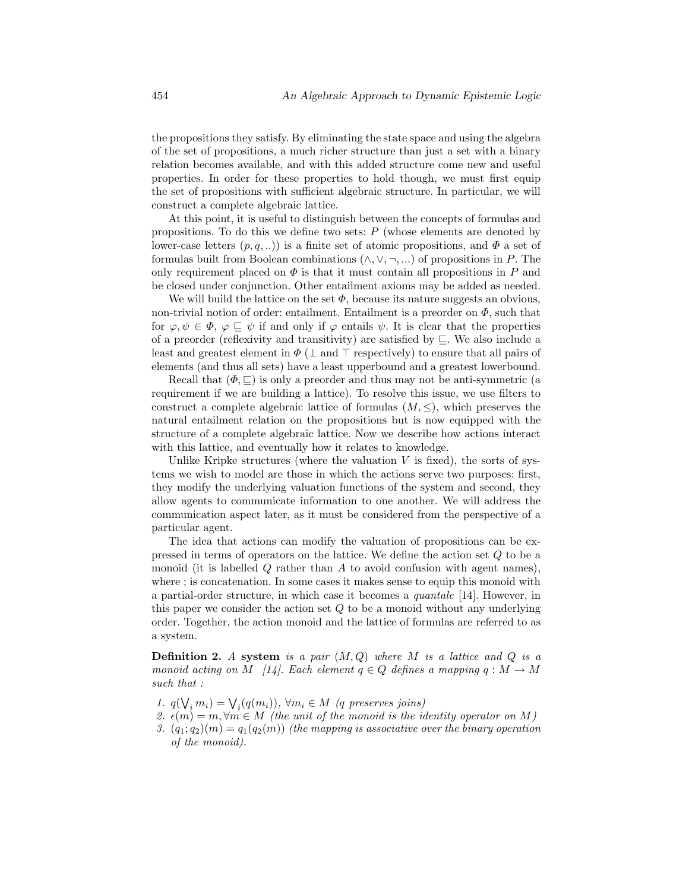the propositions they satisfy. By eliminating the state space and using the algebra of the set of propositions, a much richer structure than just a set with a binary relation becomes available, and with this added structure come new and useful properties. In order for these properties to hold though, we must first equip the set of propositions with sufficient algebraic structure. In particular, we will construct a complete algebraic lattice.

At this point, it is useful to distinguish between the concepts of formulas and propositions. To do this we define two sets:  $P$  (whose elements are denoted by lower-case letters  $(p, q, ...)$  is a finite set of atomic propositions, and  $\Phi$  a set of formulas built from Boolean combinations  $(\wedge, \vee, \neg, ...)$  of propositions in P. The only requirement placed on  $\Phi$  is that it must contain all propositions in P and be closed under conjunction. Other entailment axioms may be added as needed.

We will build the lattice on the set  $\Phi$ , because its nature suggests an obvious, non-trivial notion of order: entailment. Entailment is a preorder on  $\Phi$ , such that for  $\varphi, \psi \in \Phi$ ,  $\varphi \sqsubseteq \psi$  if and only if  $\varphi$  entails  $\psi$ . It is clear that the properties of a preorder (reflexivity and transitivity) are satisfied by ⊑. We also include a least and greatest element in  $\Phi$  ( $\perp$  and  $\top$  respectively) to ensure that all pairs of elements (and thus all sets) have a least upperbound and a greatest lowerbound.

Recall that  $(\Phi, \subseteq)$  is only a preorder and thus may not be anti-symmetric (a requirement if we are building a lattice). To resolve this issue, we use filters to construct a complete algebraic lattice of formulas  $(M, \leq)$ , which preserves the natural entailment relation on the propositions but is now equipped with the structure of a complete algebraic lattice. Now we describe how actions interact with this lattice, and eventually how it relates to knowledge.

Unlike Kripke structures (where the valuation  $V$  is fixed), the sorts of systems we wish to model are those in which the actions serve two purposes: first, they modify the underlying valuation functions of the system and second, they allow agents to communicate information to one another. We will address the communication aspect later, as it must be considered from the perspective of a particular agent.

The idea that actions can modify the valuation of propositions can be expressed in terms of operators on the lattice. We define the action set Q to be a monoid (it is labelled  $Q$  rather than  $A$  to avoid confusion with agent names), where ; is concatenation. In some cases it makes sense to equip this monoid with a partial-order structure, in which case it becomes a quantale [14]. However, in this paper we consider the action set  $Q$  to be a monoid without any underlying order. Together, the action monoid and the lattice of formulas are referred to as a system.

**Definition 2.** A system is a pair  $(M,Q)$  where M is a lattice and Q is a monoid acting on M [14]. Each element  $q \in Q$  defines a mapping  $q : M \to M$ such that :

- 1.  $q(\mathcal{V}_i, m_i) = \mathcal{V}_i(q(m_i)), \forall m_i \in M$  (q preserves joins)
- 2.  $\epsilon(m) = m, \forall m \in M$  (the unit of the monoid is the identity operator on M)
- 3.  $(q_1; q_2)(m) = q_1(q_2(m))$  (the mapping is associative over the binary operation of the monoid).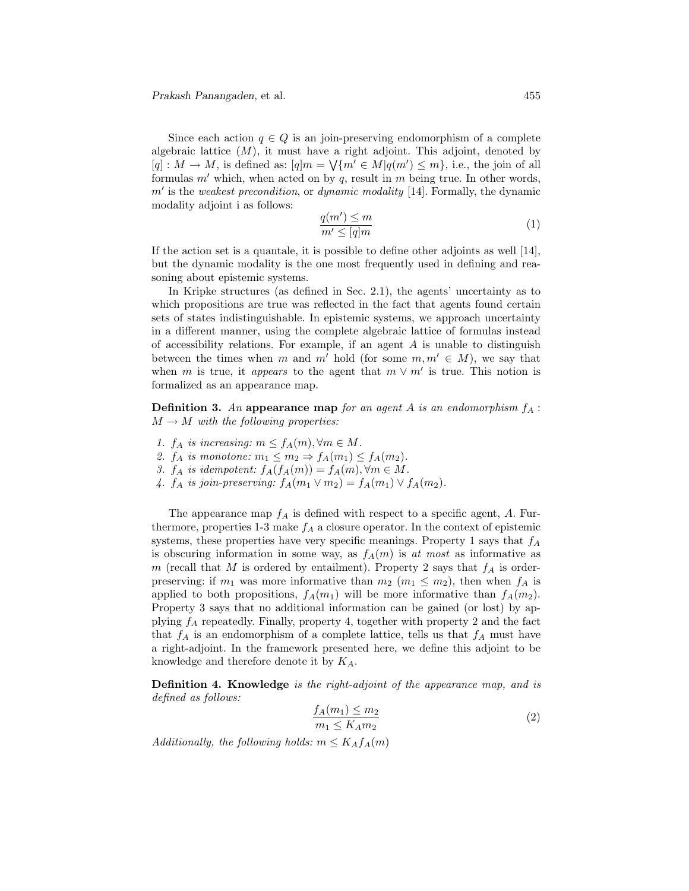Since each action  $q \in Q$  is an join-preserving endomorphism of a complete algebraic lattice  $(M)$ , it must have a right adjoint. This adjoint, denoted by  $[q] : M \to M$ , is defined as:  $[q]m = \sqrt{m' \in M} |q(m') \leq m\}$ , i.e., the join of all formulas  $m'$  which, when acted on by  $q$ , result in  $m$  being true. In other words,  $m'$  is the weakest precondition, or dynamic modality [14]. Formally, the dynamic modality adjoint i as follows:

$$
\frac{q(m') \le m}{m' \le [q]m} \tag{1}
$$

If the action set is a quantale, it is possible to define other adjoints as well [14], but the dynamic modality is the one most frequently used in defining and reasoning about epistemic systems.

In Kripke structures (as defined in Sec. 2.1), the agents' uncertainty as to which propositions are true was reflected in the fact that agents found certain sets of states indistinguishable. In epistemic systems, we approach uncertainty in a different manner, using the complete algebraic lattice of formulas instead of accessibility relations. For example, if an agent  $A$  is unable to distinguish between the times when m and m' hold (for some  $m, m' \in M$ ), we say that when m is true, it appears to the agent that  $m \vee m'$  is true. This notion is formalized as an appearance map.

**Definition 3.** An appearance map for an agent A is an endomorphism  $f_A$ :  $M \rightarrow M$  with the following properties:

- 1.  $f_A$  is increasing:  $m \le f_A(m)$ ,  $\forall m \in M$ .
- 2.  $f_A$  is monotone:  $m_1 \leq m_2 \Rightarrow f_A(m_1) \leq f_A(m_2)$ .
- 3.  $f_A$  is idempotent:  $f_A(f_A(m)) = f_A(m), \forall m \in M$ .
- 4.  $f_A$  is join-preserving:  $f_A(m_1 \vee m_2) = f_A(m_1) \vee f_A(m_2)$ .

The appearance map  $f_A$  is defined with respect to a specific agent, A. Furthermore, properties 1-3 make  $f_A$  a closure operator. In the context of epistemic systems, these properties have very specific meanings. Property 1 says that  $f_A$ is obscuring information in some way, as  $f_A(m)$  is at most as informative as m (recall that M is ordered by entailment). Property 2 says that  $f_A$  is orderpreserving: if  $m_1$  was more informative than  $m_2$   $(m_1 \leq m_2)$ , then when  $f_A$  is applied to both propositions,  $f_A(m_1)$  will be more informative than  $f_A(m_2)$ . Property 3 says that no additional information can be gained (or lost) by applying  $f_A$  repeatedly. Finally, property 4, together with property 2 and the fact that  $f_A$  is an endomorphism of a complete lattice, tells us that  $f_A$  must have a right-adjoint. In the framework presented here, we define this adjoint to be knowledge and therefore denote it by  $K_A$ .

Definition 4. Knowledge is the right-adjoint of the appearance map, and is defined as follows:

$$
\frac{f_A(m_1) \le m_2}{m_1 \le K_A m_2} \tag{2}
$$

Additionally, the following holds:  $m \leq K_A f_A(m)$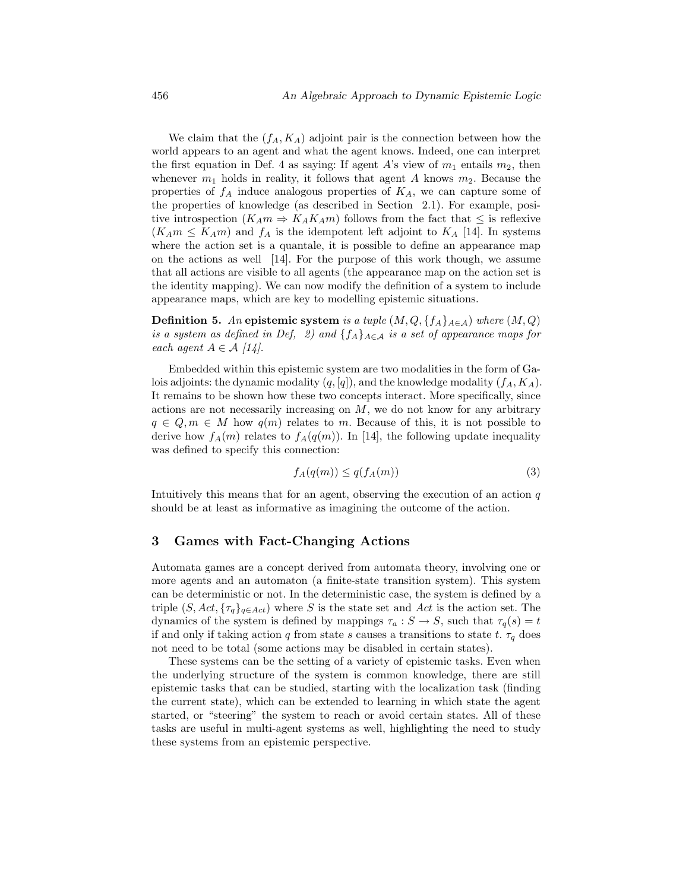We claim that the  $(f_A, K_A)$  adjoint pair is the connection between how the world appears to an agent and what the agent knows. Indeed, one can interpret the first equation in Def. 4 as saying: If agent A's view of  $m_1$  entails  $m_2$ , then whenever  $m_1$  holds in reality, it follows that agent A knows  $m_2$ . Because the properties of  $f_A$  induce analogous properties of  $K_A$ , we can capture some of the properties of knowledge (as described in Section 2.1). For example, positive introspection  $(K_A m \Rightarrow K_A K_A m)$  follows from the fact that  $\leq$  is reflexive  $(K_A m \leq K_A m)$  and  $f_A$  is the idempotent left adjoint to  $K_A$  [14]. In systems where the action set is a quantale, it is possible to define an appearance map on the actions as well [14]. For the purpose of this work though, we assume that all actions are visible to all agents (the appearance map on the action set is the identity mapping). We can now modify the definition of a system to include appearance maps, which are key to modelling epistemic situations.

**Definition 5.** An epistemic system is a tuple  $(M, Q, \{f_A\}_{A \in \mathcal{A}})$  where  $(M, Q)$ is a system as defined in Def, 2) and  $\{f_A\}_{A \in \mathcal{A}}$  is a set of appearance maps for each agent  $A \in \mathcal{A}$  [14].

Embedded within this epistemic system are two modalities in the form of Galois adjoints: the dynamic modality  $(q, [q])$ , and the knowledge modality  $(f_A, K_A)$ . It remains to be shown how these two concepts interact. More specifically, since actions are not necessarily increasing on  $M$ , we do not know for any arbitrary  $q \in Q, m \in M$  how  $q(m)$  relates to m. Because of this, it is not possible to derive how  $f_A(m)$  relates to  $f_A(q(m))$ . In [14], the following update inequality was defined to specify this connection:

$$
f_A(q(m)) \le q(f_A(m))\tag{3}
$$

Intuitively this means that for an agent, observing the execution of an action  $q$ should be at least as informative as imagining the outcome of the action.

## 3 Games with Fact-Changing Actions

Automata games are a concept derived from automata theory, involving one or more agents and an automaton (a finite-state transition system). This system can be deterministic or not. In the deterministic case, the system is defined by a triple  $(S, Act, \{ \tau_a \}_{a \in Act})$  where S is the state set and Act is the action set. The dynamics of the system is defined by mappings  $\tau_a : S \to S$ , such that  $\tau_q(s) = t$ if and only if taking action q from state s causes a transitions to state t.  $\tau_a$  does not need to be total (some actions may be disabled in certain states).

These systems can be the setting of a variety of epistemic tasks. Even when the underlying structure of the system is common knowledge, there are still epistemic tasks that can be studied, starting with the localization task (finding the current state), which can be extended to learning in which state the agent started, or "steering" the system to reach or avoid certain states. All of these tasks are useful in multi-agent systems as well, highlighting the need to study these systems from an epistemic perspective.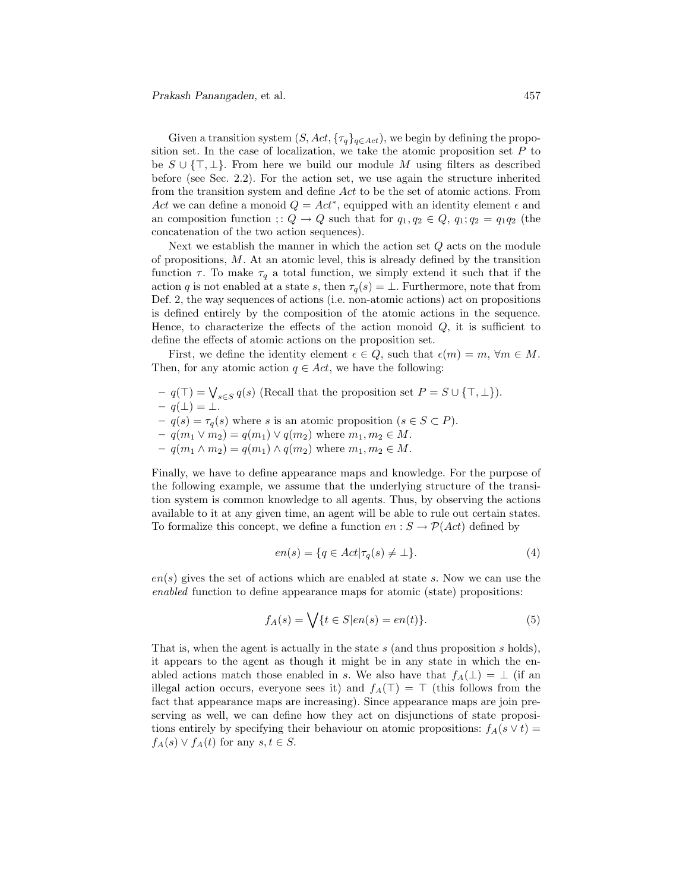Given a transition system  $(S, Act, \{\tau_q\}_{q \in Act})$ , we begin by defining the proposition set. In the case of localization, we take the atomic proposition set  $P$  to be  $S \cup \{\top, \bot\}$ . From here we build our module M using filters as described before (see Sec. 2.2). For the action set, we use again the structure inherited from the transition system and define Act to be the set of atomic actions. From Act we can define a monoid  $Q = Act^*$ , equipped with an identity element  $\epsilon$  and an composition function ; :  $Q \to Q$  such that for  $q_1, q_2 \in Q$ ,  $q_1, q_2 = q_1 q_2$  (the concatenation of the two action sequences).

Next we establish the manner in which the action set  $Q$  acts on the module of propositions, M. At an atomic level, this is already defined by the transition function  $\tau$ . To make  $\tau_q$  a total function, we simply extend it such that if the action q is not enabled at a state s, then  $\tau_q(s) = \bot$ . Furthermore, note that from Def. 2, the way sequences of actions (i.e. non-atomic actions) act on propositions is defined entirely by the composition of the atomic actions in the sequence. Hence, to characterize the effects of the action monoid  $Q$ , it is sufficient to define the effects of atomic actions on the proposition set.

First, we define the identity element  $\epsilon \in Q$ , such that  $\epsilon(m) = m$ ,  $\forall m \in M$ . Then, for any atomic action  $q \in Act$ , we have the following:

 $-q(\top) = \bigvee_{s \in S} q(s)$  (Recall that the proposition set  $P = S \cup {\top, \bot}$ ).

$$
- q(\bot) = \bot.
$$

- $-q(s) = \tau_q(s)$  where s is an atomic proposition  $(s \in S \subset P)$ .
- $q(m_1 \vee m_2) = q(m_1) \vee q(m_2)$  where  $m_1, m_2 \in M$ .
- $q(m_1 \wedge m_2) = q(m_1) \wedge q(m_2)$  where  $m_1, m_2 \in M$ .

Finally, we have to define appearance maps and knowledge. For the purpose of the following example, we assume that the underlying structure of the transition system is common knowledge to all agents. Thus, by observing the actions available to it at any given time, an agent will be able to rule out certain states. To formalize this concept, we define a function  $en : S \to \mathcal{P}(Act)$  defined by

$$
en(s) = \{q \in Act | \tau_q(s) \neq \bot\}.
$$
\n<sup>(4)</sup>

 $en(s)$  gives the set of actions which are enabled at state s. Now we can use the enabled function to define appearance maps for atomic (state) propositions:

$$
f_A(s) = \bigvee \{ t \in S | en(s) = en(t) \}. \tag{5}
$$

That is, when the agent is actually in the state  $s$  (and thus proposition  $s$  holds), it appears to the agent as though it might be in any state in which the enabled actions match those enabled in s. We also have that  $f_A(\perp) = \perp$  (if an illegal action occurs, everyone sees it) and  $f_A(\top) = \top$  (this follows from the fact that appearance maps are increasing). Since appearance maps are join preserving as well, we can define how they act on disjunctions of state propositions entirely by specifying their behaviour on atomic propositions:  $f_A(s \vee t)$  =  $f_A(s) \vee f_A(t)$  for any  $s, t \in S$ .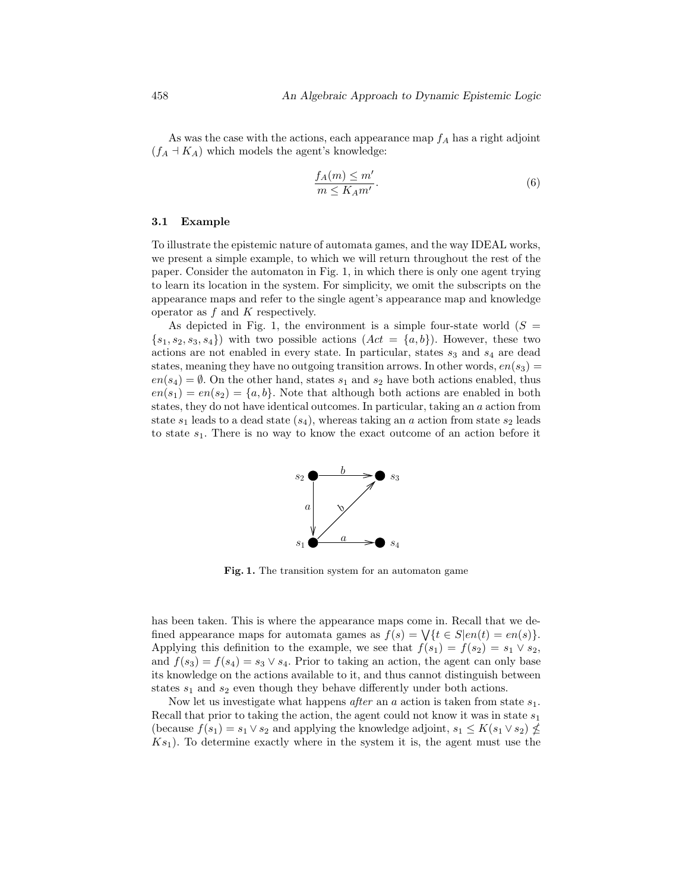As was the case with the actions, each appearance map  $f_A$  has a right adjoint  $(f_A \dashv K_A)$  which models the agent's knowledge:

$$
\frac{f_A(m) \le m'}{m \le K_A m'}.\tag{6}
$$

#### 3.1 Example

To illustrate the epistemic nature of automata games, and the way IDEAL works, we present a simple example, to which we will return throughout the rest of the paper. Consider the automaton in Fig. 1, in which there is only one agent trying to learn its location in the system. For simplicity, we omit the subscripts on the appearance maps and refer to the single agent's appearance map and knowledge operator as  $f$  and  $K$  respectively.

As depicted in Fig. 1, the environment is a simple four-state world  $(S =$  $\{s_1, s_2, s_3, s_4\}$  with two possible actions  $(Act = \{a, b\})$ . However, these two actions are not enabled in every state. In particular, states  $s_3$  and  $s_4$  are dead states, meaning they have no outgoing transition arrows. In other words,  $en(s_3)$  =  $en(s_4) = \emptyset$ . On the other hand, states  $s_1$  and  $s_2$  have both actions enabled, thus  $en(s_1) = en(s_2) = \{a, b\}.$  Note that although both actions are enabled in both states, they do not have identical outcomes. In particular, taking an a action from state  $s_1$  leads to a dead state  $(s_4)$ , whereas taking an a action from state  $s_2$  leads to state  $s_1$ . There is no way to know the exact outcome of an action before it



Fig. 1. The transition system for an automaton game

has been taken. This is where the appearance maps come in. Recall that we defined appearance maps for automata games as  $f(s) = \bigvee \{t \in S | en(t) = en(s)\}.$ Applying this definition to the example, we see that  $f(s_1) = f(s_2) = s_1 \vee s_2$ , and  $f(s_3) = f(s_4) = s_3 \vee s_4$ . Prior to taking an action, the agent can only base its knowledge on the actions available to it, and thus cannot distinguish between states  $s_1$  and  $s_2$  even though they behave differently under both actions.

Now let us investigate what happens *after* an a action is taken from state  $s_1$ . Recall that prior to taking the action, the agent could not know it was in state  $s_1$ (because  $f(s_1) = s_1 \vee s_2$  and applying the knowledge adjoint,  $s_1 \leq K(s_1 \vee s_2) \nleq$  $Ks<sub>1</sub>$ ). To determine exactly where in the system it is, the agent must use the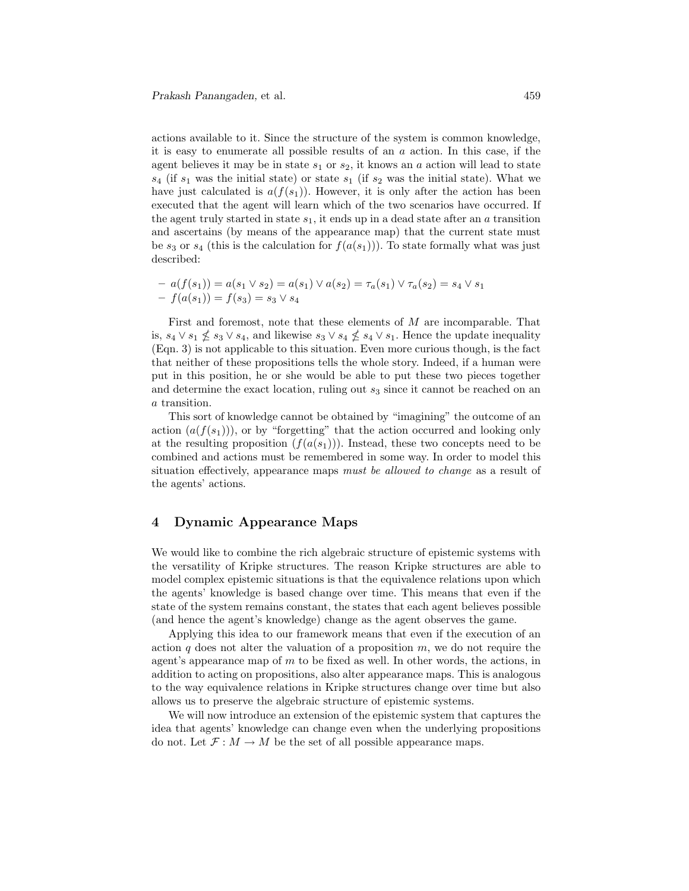actions available to it. Since the structure of the system is common knowledge, it is easy to enumerate all possible results of an  $a$  action. In this case, if the agent believes it may be in state  $s_1$  or  $s_2$ , it knows an a action will lead to state  $s_4$  (if  $s_1$  was the initial state) or state  $s_1$  (if  $s_2$  was the initial state). What we have just calculated is  $a(f(s_1))$ . However, it is only after the action has been executed that the agent will learn which of the two scenarios have occurred. If the agent truly started in state  $s_1$ , it ends up in a dead state after an a transition and ascertains (by means of the appearance map) that the current state must be  $s_3$  or  $s_4$  (this is the calculation for  $f(a(s_1))$ ). To state formally what was just described:

$$
- a(f(s_1)) = a(s_1 \vee s_2) = a(s_1) \vee a(s_2) = \tau_a(s_1) \vee \tau_a(s_2) = s_4 \vee s_1 - f(a(s_1)) = f(s_3) = s_3 \vee s_4
$$

First and foremost, note that these elements of M are incomparable. That is,  $s_4 \vee s_1 \nleq s_3 \vee s_4$ , and likewise  $s_3 \vee s_4 \nleq s_4 \vee s_1$ . Hence the update inequality (Eqn. 3) is not applicable to this situation. Even more curious though, is the fact that neither of these propositions tells the whole story. Indeed, if a human were put in this position, he or she would be able to put these two pieces together and determine the exact location, ruling out  $s_3$  since it cannot be reached on an a transition.

This sort of knowledge cannot be obtained by "imagining" the outcome of an action  $(a(f(s_1)))$ , or by "forgetting" that the action occurred and looking only at the resulting proposition  $(f(a(s_1)))$ . Instead, these two concepts need to be combined and actions must be remembered in some way. In order to model this situation effectively, appearance maps must be allowed to change as a result of the agents' actions.

## 4 Dynamic Appearance Maps

We would like to combine the rich algebraic structure of epistemic systems with the versatility of Kripke structures. The reason Kripke structures are able to model complex epistemic situations is that the equivalence relations upon which the agents' knowledge is based change over time. This means that even if the state of the system remains constant, the states that each agent believes possible (and hence the agent's knowledge) change as the agent observes the game.

Applying this idea to our framework means that even if the execution of an action q does not alter the valuation of a proposition  $m$ , we do not require the agent's appearance map of  $m$  to be fixed as well. In other words, the actions, in addition to acting on propositions, also alter appearance maps. This is analogous to the way equivalence relations in Kripke structures change over time but also allows us to preserve the algebraic structure of epistemic systems.

We will now introduce an extension of the epistemic system that captures the idea that agents' knowledge can change even when the underlying propositions do not. Let  $\mathcal{F}: M \to M$  be the set of all possible appearance maps.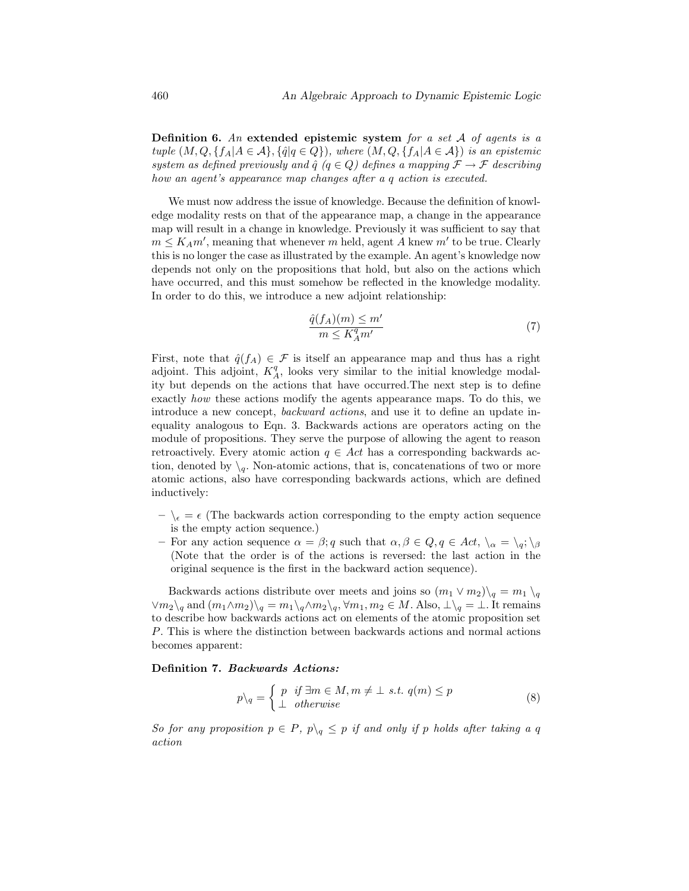Definition 6. An extended epistemic system for a set  $A$  of agents is a tuple  $(M, Q, \{f_A | A \in \mathcal{A}\}, \{\hat{q} | q \in Q\})$ , where  $(M, Q, \{f_A | A \in \mathcal{A}\})$  is an epistemic system as defined previously and  $\hat{q}$  ( $q \in Q$ ) defines a mapping  $\mathcal{F} \to \mathcal{F}$  describing how an agent's appearance map changes after a q action is executed.

We must now address the issue of knowledge. Because the definition of knowledge modality rests on that of the appearance map, a change in the appearance map will result in a change in knowledge. Previously it was sufficient to say that  $m \leq K_A m'$ , meaning that whenever m held, agent A knew m' to be true. Clearly this is no longer the case as illustrated by the example. An agent's knowledge now depends not only on the propositions that hold, but also on the actions which have occurred, and this must somehow be reflected in the knowledge modality. In order to do this, we introduce a new adjoint relationship:

$$
\frac{\hat{q}(f_A)(m) \le m'}{m \le K_A^q m'}
$$
\n<sup>(7)</sup>

First, note that  $\hat{q}(f_A) \in \mathcal{F}$  is itself an appearance map and thus has a right adjoint. This adjoint,  $K_A^q$ , looks very similar to the initial knowledge modality but depends on the actions that have occurred.The next step is to define exactly how these actions modify the agents appearance maps. To do this, we introduce a new concept, backward actions, and use it to define an update inequality analogous to Eqn. 3. Backwards actions are operators acting on the module of propositions. They serve the purpose of allowing the agent to reason retroactively. Every atomic action  $q \in Act$  has a corresponding backwards action, denoted by  $\setminus_q$ . Non-atomic actions, that is, concatenations of two or more atomic actions, also have corresponding backwards actions, which are defined inductively:

- $-\ \epsilon = \epsilon$  (The backwards action corresponding to the empty action sequence is the empty action sequence.)
- For any action sequence  $\alpha = \beta$ ; q such that  $\alpha, \beta \in Q$ ,  $q \in Act$ ,  $\lambda_{\alpha} = \lambda_{q}$ ;  $\lambda_{\beta}$ (Note that the order is of the actions is reversed: the last action in the original sequence is the first in the backward action sequence).

Backwards actions distribute over meets and joins so  $(m_1 \vee m_2) \setminus_q = m_1 \setminus_q$  $\lor m_2\lor_q$  and  $(m_1\land m_2)\lor_q = m_1\lor_q\land m_2\lor_q$ ,  $\forall m_1, m_2 \in M$ . Also,  $\bot\lor_q = \bot$ . It remains to describe how backwards actions act on elements of the atomic proposition set P. This is where the distinction between backwards actions and normal actions becomes apparent:

#### Definition 7. Backwards Actions:

$$
p\backslash_q = \begin{cases} p & \text{if } \exists m \in M, m \neq \bot \text{ s.t. } q(m) \leq p \\ \bot & otherwise \end{cases} \tag{8}
$$

So for any proposition  $p \in P$ ,  $p \nightharpoonup q \leq p$  if and only if p holds after taking a q action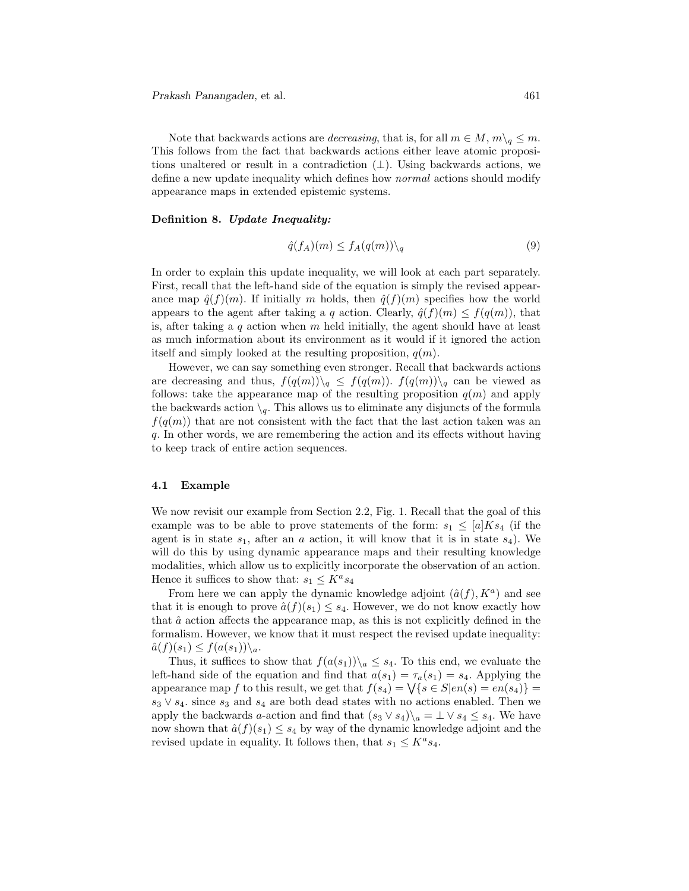Note that backwards actions are *decreasing*, that is, for all  $m \in M$ ,  $m\backslash_q \leq m$ . This follows from the fact that backwards actions either leave atomic propositions unaltered or result in a contradiction  $(\perp)$ . Using backwards actions, we define a new update inequality which defines how normal actions should modify appearance maps in extended epistemic systems.

#### Definition 8. Update Inequality:

$$
\hat{q}(f_A)(m) \le f_A(q(m)) \setminus_q \tag{9}
$$

In order to explain this update inequality, we will look at each part separately. First, recall that the left-hand side of the equation is simply the revised appearance map  $\hat{q}(f)(m)$ . If initially m holds, then  $\hat{q}(f)(m)$  specifies how the world appears to the agent after taking a q action. Clearly,  $\hat{q}(f)(m) \leq f(q(m))$ , that is, after taking a q action when  $m$  held initially, the agent should have at least as much information about its environment as it would if it ignored the action itself and simply looked at the resulting proposition,  $q(m)$ .

However, we can say something even stronger. Recall that backwards actions are decreasing and thus,  $f(q(m))\setminus_q \leq f(q(m))$ .  $f(q(m))\setminus_q$  can be viewed as follows: take the appearance map of the resulting proposition  $q(m)$  and apply the backwards action  $\setminus_q$ . This allows us to eliminate any disjuncts of the formula  $f(q(m))$  that are not consistent with the fact that the last action taken was an q. In other words, we are remembering the action and its effects without having to keep track of entire action sequences.

#### 4.1 Example

We now revisit our example from Section 2.2, Fig. 1. Recall that the goal of this example was to be able to prove statements of the form:  $s_1 \n\t\leq [a] K s_4$  (if the agent is in state  $s_1$ , after an a action, it will know that it is in state  $s_4$ ). We will do this by using dynamic appearance maps and their resulting knowledge modalities, which allow us to explicitly incorporate the observation of an action. Hence it suffices to show that:  $s_1 \n\t\le K^a s_4$ 

From here we can apply the dynamic knowledge adjoint  $(\hat{a}(f), K^a)$  and see that it is enough to prove  $\hat{a}(f)(s_1) \leq s_4$ . However, we do not know exactly how that  $\hat{a}$  action affects the appearance map, as this is not explicitly defined in the formalism. However, we know that it must respect the revised update inequality:  $\hat{a}(f)(s_1) \leq f(a(s_1)) \setminus_a$ .

Thus, it suffices to show that  $f(a(s_1))\backslash a \leq s_4$ . To this end, we evaluate the left-hand side of the equation and find that  $a(s_1) = \tau_a(s_1) = s_4$ . Applying the appearance map f to this result, we get that  $f(s_4) = \sqrt{\{s \in S | en(s) = en(s_4)\}}$  $s_3 \vee s_4$ , since  $s_3$  and  $s_4$  are both dead states with no actions enabled. Then we apply the backwards a-action and find that  $(s_3 \vee s_4)\a = \perp \vee s_4 \leq s_4$ . We have now shown that  $\hat{a}(f)(s_1) \leq s_4$  by way of the dynamic knowledge adjoint and the revised update in equality. It follows then, that  $s_1 \n\t\le K^a s_4$ .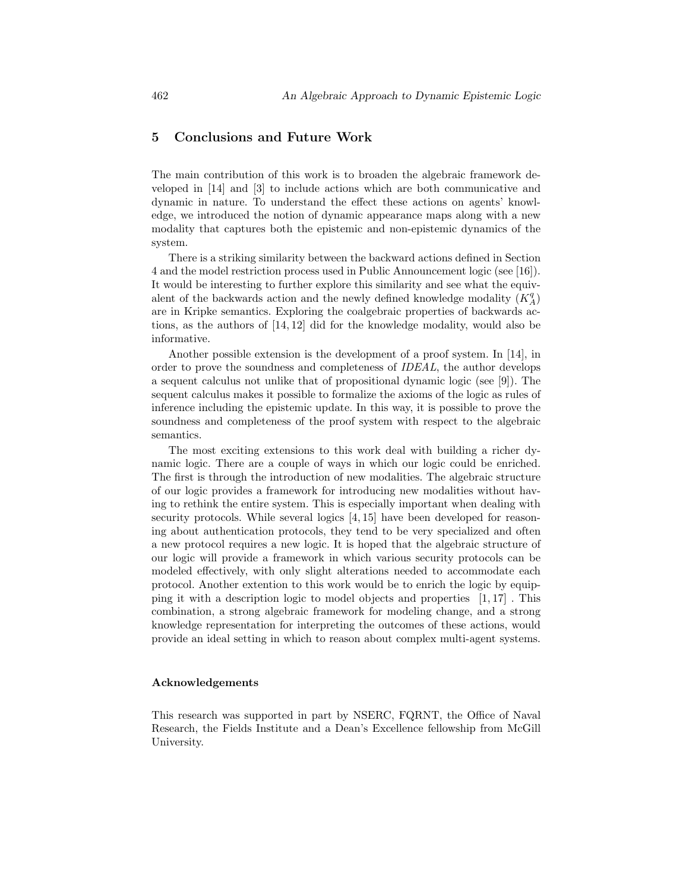## 5 Conclusions and Future Work

The main contribution of this work is to broaden the algebraic framework developed in [14] and [3] to include actions which are both communicative and dynamic in nature. To understand the effect these actions on agents' knowledge, we introduced the notion of dynamic appearance maps along with a new modality that captures both the epistemic and non-epistemic dynamics of the system.

There is a striking similarity between the backward actions defined in Section 4 and the model restriction process used in Public Announcement logic (see [16]). It would be interesting to further explore this similarity and see what the equivalent of the backwards action and the newly defined knowledge modality  $(K_A^q)$ are in Kripke semantics. Exploring the coalgebraic properties of backwards actions, as the authors of [14, 12] did for the knowledge modality, would also be informative.

Another possible extension is the development of a proof system. In [14], in order to prove the soundness and completeness of IDEAL, the author develops a sequent calculus not unlike that of propositional dynamic logic (see [9]). The sequent calculus makes it possible to formalize the axioms of the logic as rules of inference including the epistemic update. In this way, it is possible to prove the soundness and completeness of the proof system with respect to the algebraic semantics.

The most exciting extensions to this work deal with building a richer dynamic logic. There are a couple of ways in which our logic could be enriched. The first is through the introduction of new modalities. The algebraic structure of our logic provides a framework for introducing new modalities without having to rethink the entire system. This is especially important when dealing with security protocols. While several logics [4, 15] have been developed for reasoning about authentication protocols, they tend to be very specialized and often a new protocol requires a new logic. It is hoped that the algebraic structure of our logic will provide a framework in which various security protocols can be modeled effectively, with only slight alterations needed to accommodate each protocol. Another extention to this work would be to enrich the logic by equipping it with a description logic to model objects and properties [1, 17] . This combination, a strong algebraic framework for modeling change, and a strong knowledge representation for interpreting the outcomes of these actions, would provide an ideal setting in which to reason about complex multi-agent systems.

#### Acknowledgements

This research was supported in part by NSERC, FQRNT, the Office of Naval Research, the Fields Institute and a Dean's Excellence fellowship from McGill University.